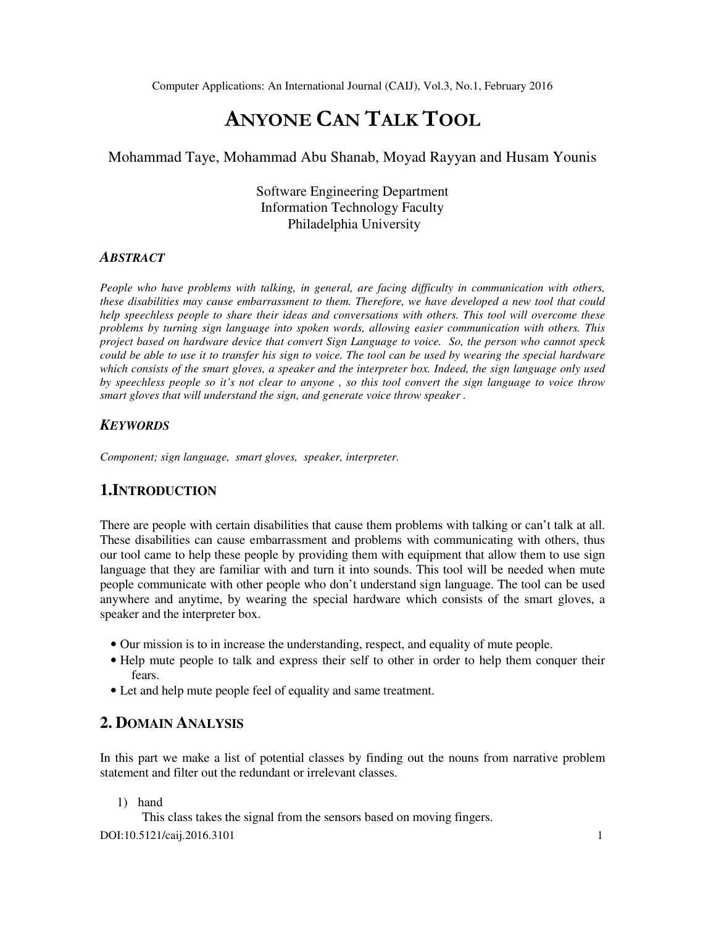# ANYONE CAN TALK TOOL

#### Mohammad Taye, Mohammad Abu Shanab, Moyad Rayyan and Husam Younis

Software Engineering Department Information Technology Faculty Philadelphia University

#### *ABSTRACT*

*People who have problems with talking, in general, are facing difficulty in communication with others, these disabilities may cause embarrassment to them. Therefore, we have developed a new tool that could help speechless people to share their ideas and conversations with others. This tool will overcome these problems by turning sign language into spoken words, allowing easier communication with others. This project based on hardware device that convert Sign Language to voice. So, the person who cannot speck could be able to use it to transfer his sign to voice. The tool can be used by wearing the special hardware which consists of the smart gloves, a speaker and the interpreter box. Indeed, the sign language only used by speechless people so it's not clear to anyone , so this tool convert the sign language to voice throw smart gloves that will understand the sign, and generate voice throw speaker .* 

#### *KEYWORDS*

*Component; sign language, smart gloves, speaker, interpreter.* 

# **1.INTRODUCTION**

There are people with certain disabilities that cause them problems with talking or can't talk at all. These disabilities can cause embarrassment and problems with communicating with others, thus our tool came to help these people by providing them with equipment that allow them to use sign language that they are familiar with and turn it into sounds. This tool will be needed when mute people communicate with other people who don't understand sign language. The tool can be used anywhere and anytime, by wearing the special hardware which consists of the smart gloves, a speaker and the interpreter box.

- Our mission is to in increase the understanding, respect, and equality of mute people.
- Help mute people to talk and express their self to other in order to help them conquer their fears.
- Let and help mute people feel of equality and same treatment.

# **2. DOMAIN ANALYSIS**

In this part we make a list of potential classes by finding out the nouns from narrative problem statement and filter out the redundant or irrelevant classes.

1) hand

DOI:10.5121/caij.2016.3101 1 This class takes the signal from the sensors based on moving fingers.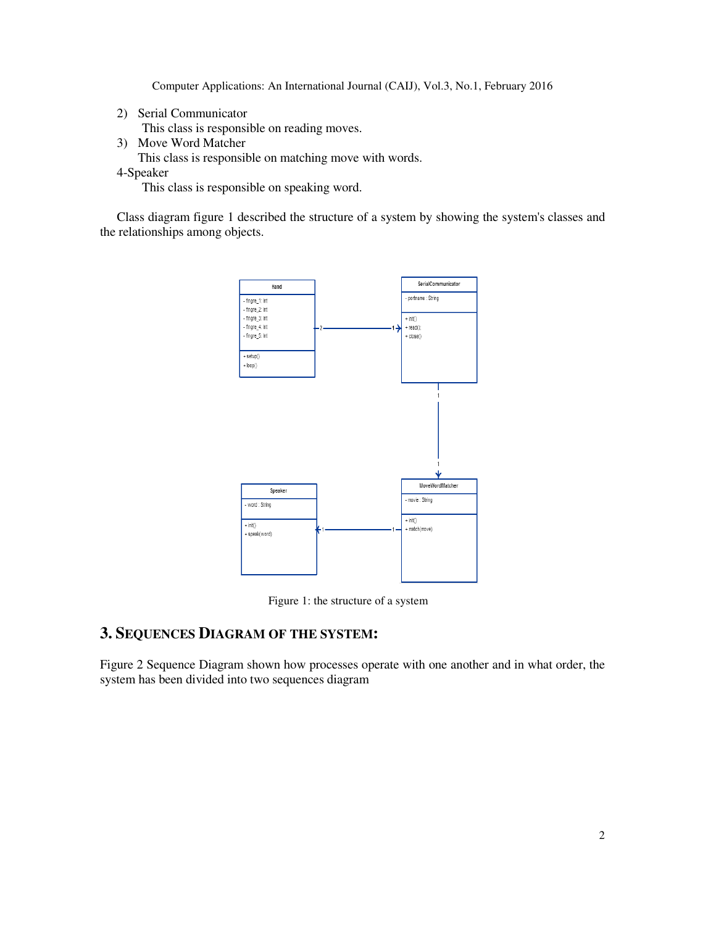2) Serial Communicator

This class is responsible on reading moves.

- 3) Move Word Matcher
	- This class is responsible on matching move with words.
- 4-Speaker

This class is responsible on speaking word.

Class diagram figure 1 described the structure of a system by showing the system's classes and the relationships among objects.



Figure 1: the structure of a system

# **3. SEQUENCES DIAGRAM OF THE SYSTEM:**

Figure 2 Sequence Diagram shown how processes operate with one another and in what order, the system has been divided into two sequences diagram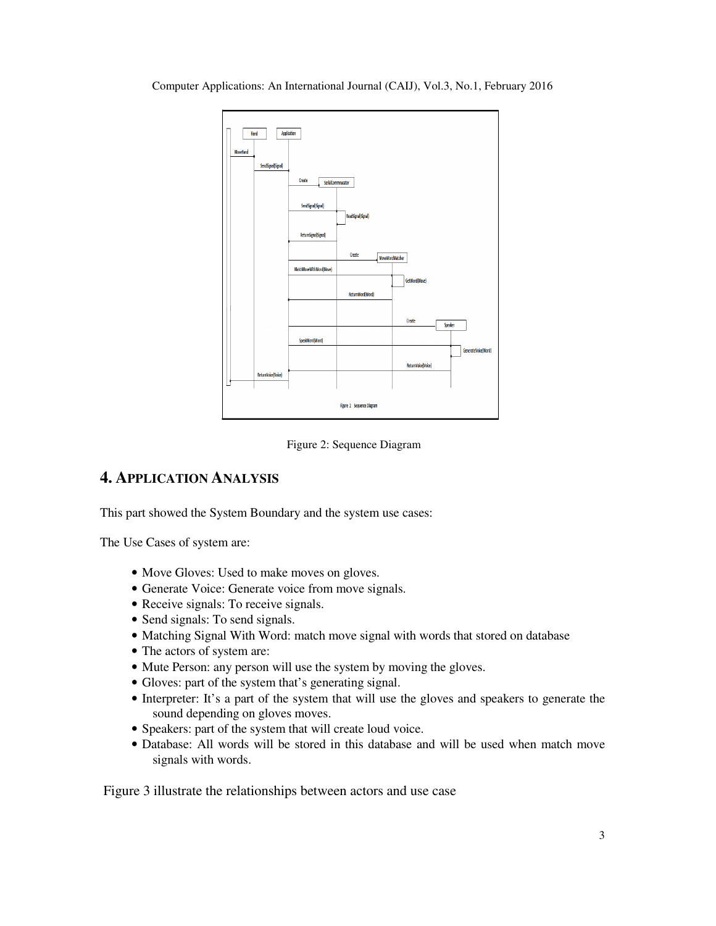Computer Applications: An International Journal (CAIJ), Vol.3, No.1, February 2016



Figure 2: Sequence Diagram

# **4. APPLICATION ANALYSIS**

This part showed the System Boundary and the system use cases:

The Use Cases of system are:

- Move Gloves: Used to make moves on gloves.
- Generate Voice: Generate voice from move signals.
- Receive signals: To receive signals.
- Send signals: To send signals.
- Matching Signal With Word: match move signal with words that stored on database
- The actors of system are:
- Mute Person: any person will use the system by moving the gloves.
- Gloves: part of the system that's generating signal.
- Interpreter: It's a part of the system that will use the gloves and speakers to generate the sound depending on gloves moves.
- Speakers: part of the system that will create loud voice.
- Database: All words will be stored in this database and will be used when match move signals with words.

Figure 3 illustrate the relationships between actors and use case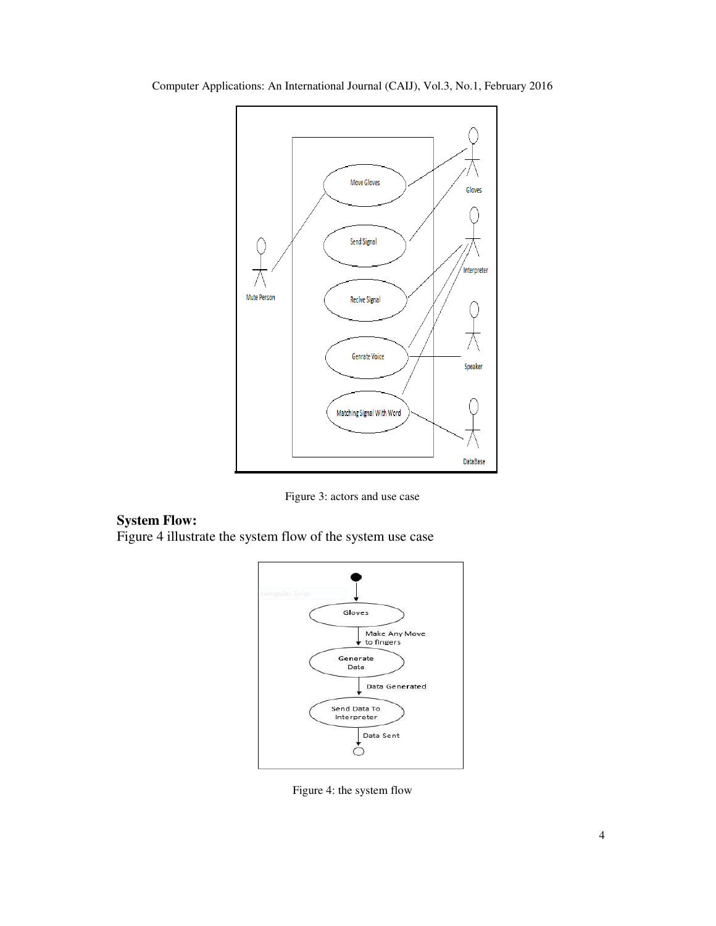

Computer Applications: An International Journal (CAIJ), Vol.3, No.1, February 2016

Figure 3: actors and use case

### **System Flow:**

Figure 4 illustrate the system flow of the system use case



Figure 4: the system flow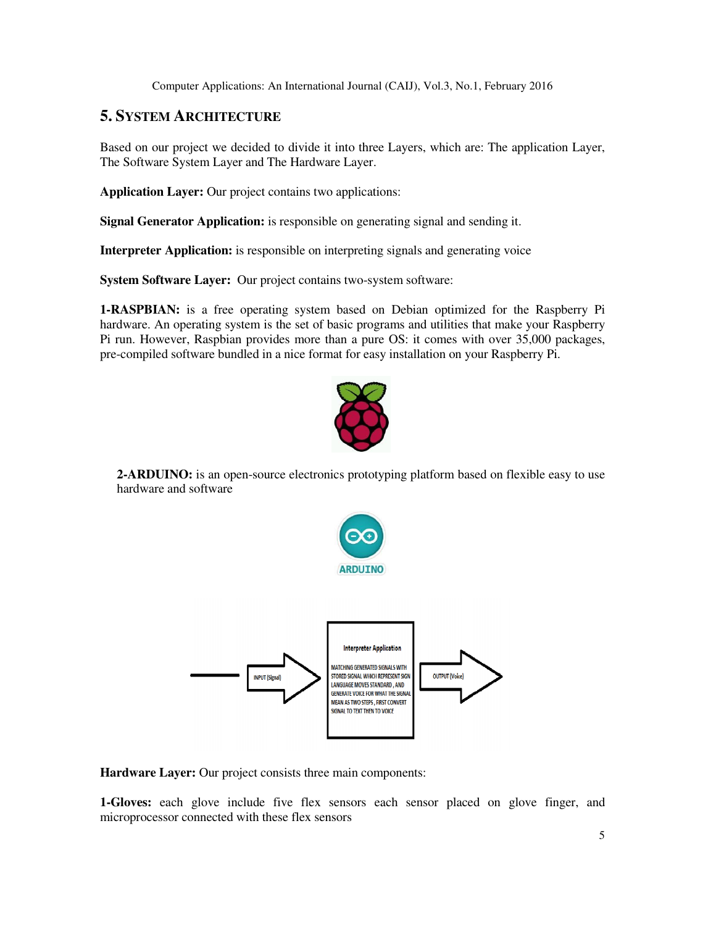### **5. SYSTEM ARCHITECTURE**

Based on our project we decided to divide it into three Layers, which are: The application Layer, The Software System Layer and The Hardware Layer.

**Application Layer:** Our project contains two applications:

**Signal Generator Application:** is responsible on generating signal and sending it.

**Interpreter Application:** is responsible on interpreting signals and generating voice

**System Software Layer:** Our project contains two-system software:

**1-RASPBIAN:** is a free operating system based on Debian optimized for the Raspberry Pi hardware. An operating system is the set of basic programs and utilities that make your Raspberry Pi run. However, Raspbian provides more than a pure OS: it comes with over 35,000 packages, pre-compiled software bundled in a nice format for easy installation on your Raspberry Pi.



**2-ARDUINO:** is an open-source electronics prototyping platform based on flexible easy to use hardware and software



**Hardware Layer:** Our project consists three main components:

**1-Gloves:** each glove include five flex sensors each sensor placed on glove finger, and microprocessor connected with these flex sensors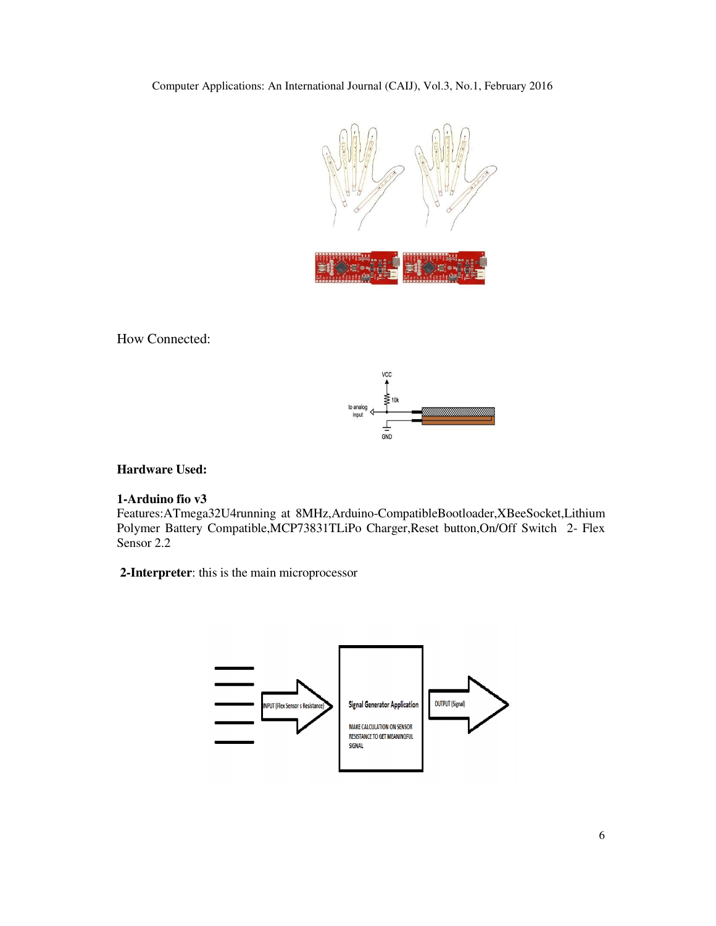Computer Applications: An International Journal (CAIJ), Vol.3, No.1, February 2016



How Connected:



**Hardware Used:** 

#### **1-Arduino fio v3**

Features:ATmega32U4running at 8MHz,Arduino-CompatibleBootloader,XBeeSocket,Lithium Polymer Battery Compatible,MCP73831TLiPo Charger,Reset button,On/Off Switch 2- Flex Sensor 2.2

**2-Interpreter**: this is the main microprocessor

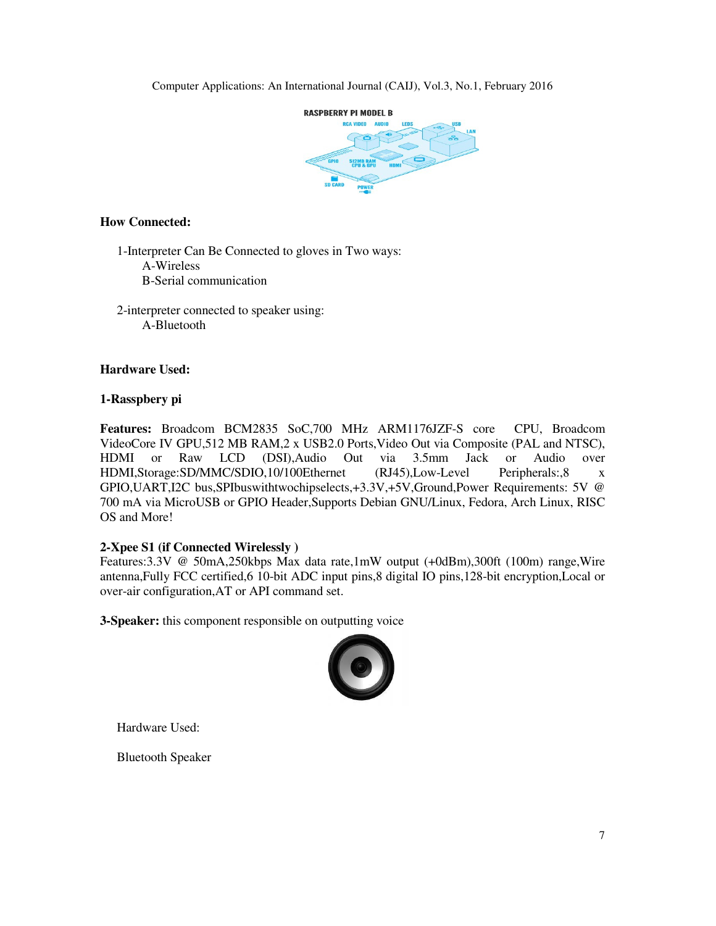

#### **How Connected:**

1-Interpreter Can Be Connected to gloves in Two ways: A-Wireless B-Serial communication

 2-interpreter connected to speaker using: A-Bluetooth

#### **Hardware Used:**

#### **1-Rasspbery pi**

**Features:** Broadcom BCM2835 SoC,700 MHz ARM1176JZF-S core CPU, Broadcom VideoCore IV GPU,512 MB RAM,2 x USB2.0 Ports,Video Out via Composite (PAL and NTSC), HDMI or Raw LCD (DSI),Audio Out via 3.5mm Jack or Audio over HDMI,Storage:SD/MMC/SDIO,10/100Ethernet (RJ45),Low-Level Peripherals:,8 x GPIO,UART,I2C bus,SPIbuswithtwochipselects,+3.3V,+5V,Ground,Power Requirements: 5V @ 700 mA via MicroUSB or GPIO Header,Supports Debian GNU/Linux, Fedora, Arch Linux, RISC OS and More!

#### **2-Xpee S1 (if Connected Wirelessly )**

Features:3.3V @ 50mA,250kbps Max data rate,1mW output (+0dBm),300ft (100m) range,Wire antenna,Fully FCC certified,6 10-bit ADC input pins,8 digital IO pins,128-bit encryption,Local or over-air configuration,AT or API command set.

**3-Speaker:** this component responsible on outputting voice



Hardware Used:

Bluetooth Speaker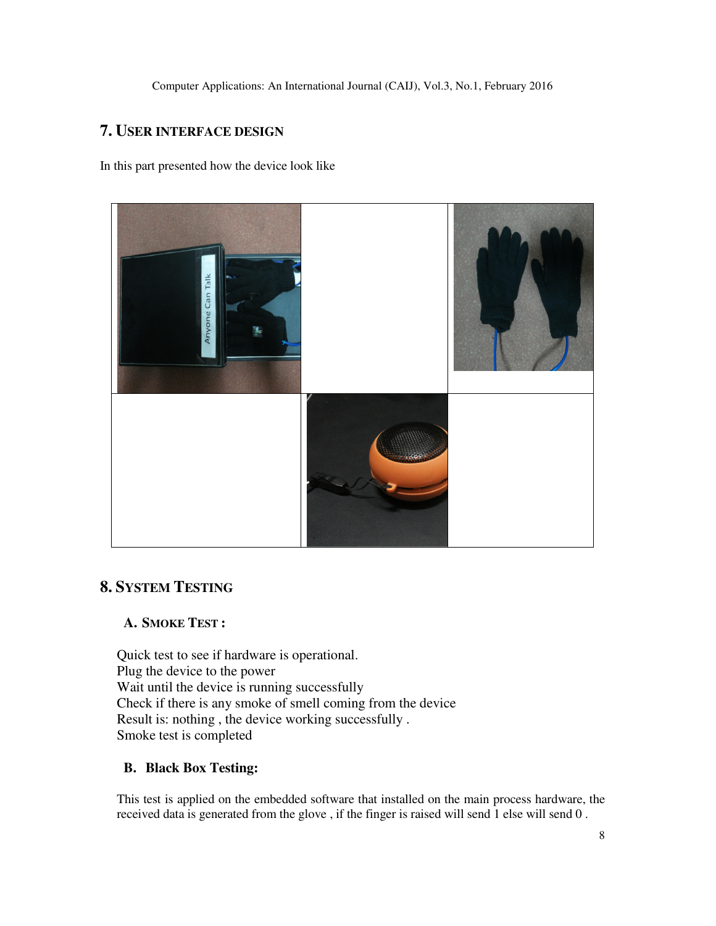# **7. USER INTERFACE DESIGN**

In this part presented how the device look like



# **8. SYSTEM TESTING**

# **A. SMOKE TEST :**

Quick test to see if hardware is operational. Plug the device to the power Wait until the device is running successfully Check if there is any smoke of smell coming from the device Result is: nothing , the device working successfully . Smoke test is completed

# **B. Black Box Testing:**

This test is applied on the embedded software that installed on the main process hardware, the received data is generated from the glove , if the finger is raised will send 1 else will send 0 .